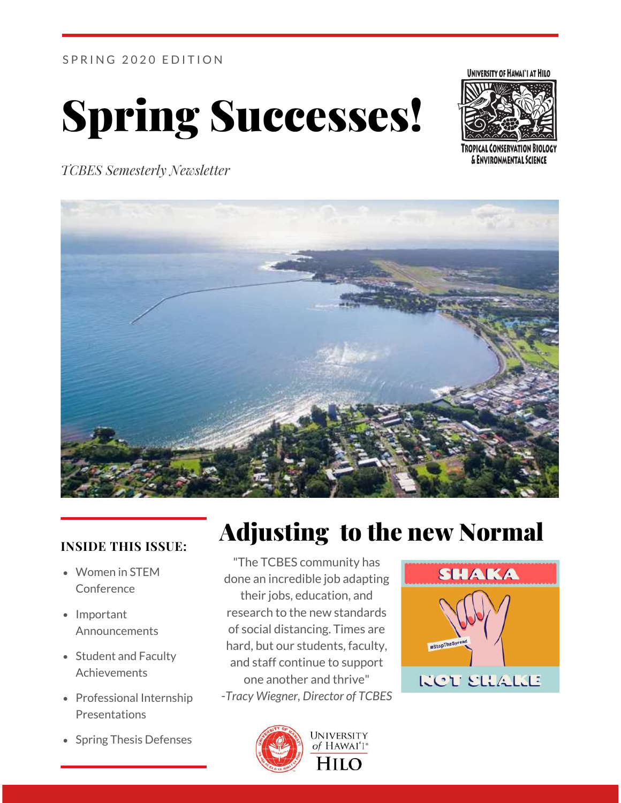SPRING 2020 EDITION







*TCBES Semesterly Newsletter*



#### **INSIDE THIS ISSUE:**

- Women in STEM Conference
- Important Announcements
- Student and Faculty Achievements
- Professional Internship Presentations
- Spring Thesis Defenses

# Adjusting to the new Normal

"The TCBES community has done an incredible job adapting their jobs, education, and research to the new standards of social distancing. Times are hard, but our students, faculty, and staff continue to support one another and thrive" -*Tracy Wiegner, Director of TCBES*



Hilo

**SHAKA KCT SHALLE**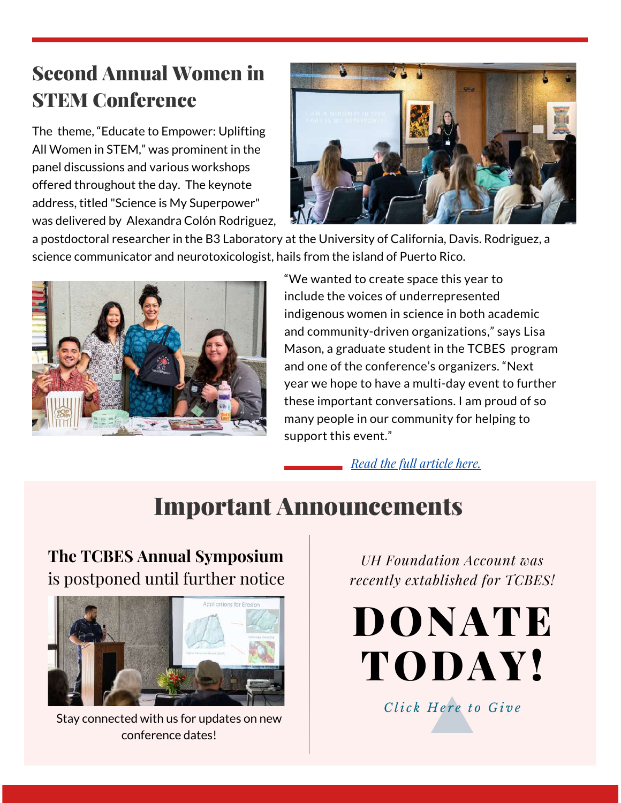### Second Annual Women in STEM Conference

The theme, "Educate to Empower: Uplifting All Women in STEM," was prominent in the panel discussions and various workshops offered throughout the day. The keynote address, titled "Science is My Superpower" was delivered by Alexandra Colón Rodriguez,



a postdoctoral researcher in the B3 Laboratory at the University of California, Davis. Rodriguez, a science communicator and neurotoxicologist, hails from the island of Puerto Rico.



"We wanted to create space this year to include the voices of underrepresented indigenous women in science in both academic and community-driven organizations," says Lisa Mason, a graduate student in the TCBES program and one of the conference's organizers. "Next year we hope to have a multi-day event to further these important conversations. I am proud of so many people in our community for helping to support this event."

*Read the full [article](https://www.hawaii.edu/news/2020/03/09/hilo-2020-women-in-stem-conference/) here.*

## Important Announcements

### **The TCBES Annual Symposium** is postponed until further notice



Stay connected with us for updates on new conference dates!

*UH [Foundation](http://www.uhfoundation.org/UHHTCBESGradProgram) Account was recently extablished for TCBES!*

[DONATE](http://www.uhfoundation.org/UHHTCBESGradProgram) TODAY!

*C li c k [H](http://www.uhfoundation.org/UHHTCBESGradProgram) e r e t o G i v e*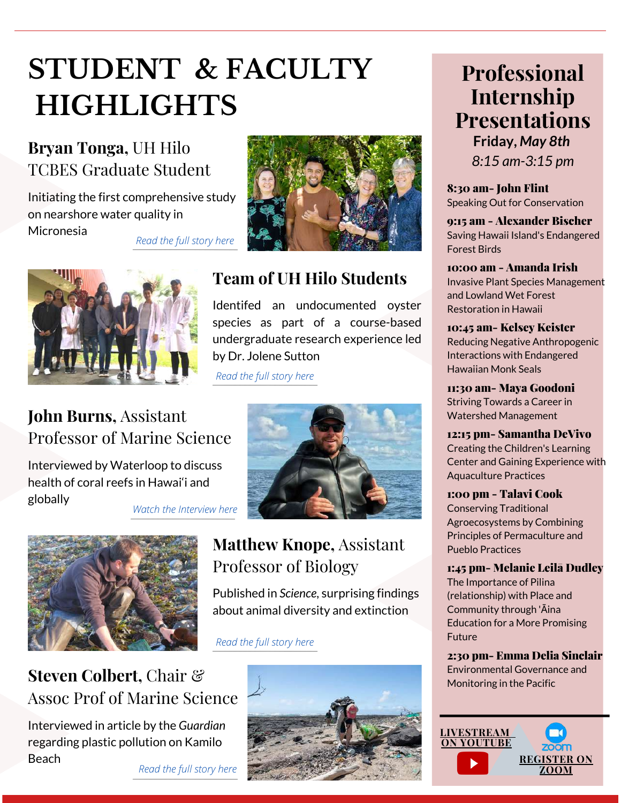# **STUDENT & FACULTY HIGHLIGHTS**

### **Bryan Tonga,** UH Hilo [TCBE](http://www.uhfoundation.org/UHHTCBESGradProgram)S Graduate Student

Initiating the first comprehensive study on nearshore water quality in Micronesia



*[Read](https://hilo.hawaii.edu/chancellor/stories/2020/02/25/water-quality-in-micronesia/) the full story here*



### **Team of UH Hilo Students**

Identifed an undocumented oyster species as part of a co[urse-based](http://www.uhfoundation.org/UHHTCBESGradProgram) undergraduate research experience led by Dr. Jolene Sutton

*[Read](https://hilo.hawaii.edu/chancellor/stories/2020/03/31/student-research-oyster-species-hawaii/) the full story here*

#### **John Burns,** Assistant [Profes](http://www.uhfoundation.org/UHHTCBESGradProgram)sor of Marine Science

Interviewed by Waterloop to discuss health of coral reefs in Hawai'i and globally



*Watch the [Interview](https://hilo.hawaii.edu/chancellor/stories/2020/02/19/uh-hilo-marine-scientist-john-burns-interviewed/) here*



### **Steven Colbert,** Chair  $\mathcal{C}$  **Monitoring in the Pacific** [Assoc](http://www.uhfoundation.org/UHHTCBESGradProgram) Prof of Marine Science

Interviewed in article by the *Guardian* regarding plastic pollution on Kamilo Beach

*[Read](https://www.theguardian.com/us-news/2020/jan/10/kamilo-beach-plastic-hawaii-pollution) the full story here*

### **Matthew Knope,** Assistant Professor of Biology

Published in *Science*, surprising findings about animal diversity and e[xtinction](http://www.uhfoundation.org/UHHTCBESGradProgram)

*[Read](https://hilo.hawaii.edu/chancellor/stories/2020/02/27/published-study-headed-by-uh-hilo-evolutionary-ecologist/) the full story here*



### **Professional Internship Presentations**

**Friday,** *May 8th 8:15 am-3:15 pm*

8:30 am- John Flint Speaking Out for Conservation

9:15 am - Alexander Bischer Saving Hawaii Island's Endangered Forest Birds

10:00 am - Amanda Irish Invasive Plant Species Management and Lowland Wet Forest Restoration in Hawaii

#### 10:45 am- Kelsey Keister Reducing Negative Anthropogenic Interactions with Endangered Hawaiian Monk Seals

11:30 am- Maya Goodoni Striving Towards a Career in Watershed Management

12:15 pm- Samantha DeVivo Creating the Children's Learning Center and Gaining Experience with Aquaculture Practices

#### 1:00 pm - Talavi Cook

Conserving Traditional Agroecosystems by Combining Principles of Permaculture and Pueblo Practices

#### 1:45 pm- Melanie Leilā Dudley

The Importance of Pilina (relationship) with Place and Community through 'Āina Education for a More Promising Future

#### 2:30 pm- Emma Delia Sinclair

Environmental Governance and